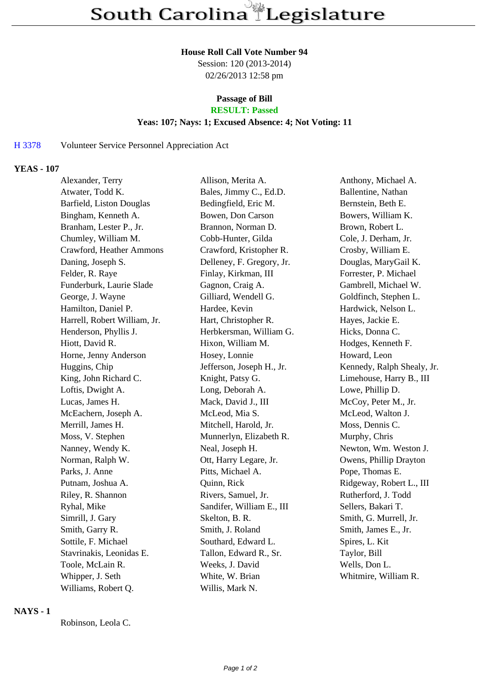#### **House Roll Call Vote Number 94**

Session: 120 (2013-2014) 02/26/2013 12:58 pm

# **Passage of Bill**

## **RESULT: Passed**

### **Yeas: 107; Nays: 1; Excused Absence: 4; Not Voting: 11**

#### H 3378 Volunteer Service Personnel Appreciation Act

#### **YEAS - 107**

| Alexander, Terry             | Allison, Merita A.        | Anthony, Michael A.        |
|------------------------------|---------------------------|----------------------------|
| Atwater, Todd K.             | Bales, Jimmy C., Ed.D.    | Ballentine, Nathan         |
| Barfield, Liston Douglas     | Bedingfield, Eric M.      | Bernstein, Beth E.         |
| Bingham, Kenneth A.          | Bowen, Don Carson         | Bowers, William K.         |
| Branham, Lester P., Jr.      | Brannon, Norman D.        | Brown, Robert L.           |
| Chumley, William M.          | Cobb-Hunter, Gilda        | Cole, J. Derham, Jr.       |
| Crawford, Heather Ammons     | Crawford, Kristopher R.   | Crosby, William E.         |
| Daning, Joseph S.            | Delleney, F. Gregory, Jr. | Douglas, MaryGail K.       |
| Felder, R. Raye              | Finlay, Kirkman, III      | Forrester, P. Michael      |
| Funderburk, Laurie Slade     | Gagnon, Craig A.          | Gambrell, Michael W.       |
| George, J. Wayne             | Gilliard, Wendell G.      | Goldfinch, Stephen L.      |
| Hamilton, Daniel P.          | Hardee, Kevin             | Hardwick, Nelson L.        |
| Harrell, Robert William, Jr. | Hart, Christopher R.      | Hayes, Jackie E.           |
| Henderson, Phyllis J.        | Herbkersman, William G.   | Hicks, Donna C.            |
| Hiott, David R.              | Hixon, William M.         | Hodges, Kenneth F.         |
| Horne, Jenny Anderson        | Hosey, Lonnie             | Howard, Leon               |
| Huggins, Chip                | Jefferson, Joseph H., Jr. | Kennedy, Ralph Shealy, Jr. |
| King, John Richard C.        | Knight, Patsy G.          | Limehouse, Harry B., III   |
| Loftis, Dwight A.            | Long, Deborah A.          | Lowe, Phillip D.           |
| Lucas, James H.              | Mack, David J., III       | McCoy, Peter M., Jr.       |
| McEachern, Joseph A.         | McLeod, Mia S.            | McLeod, Walton J.          |
| Merrill, James H.            | Mitchell, Harold, Jr.     | Moss, Dennis C.            |
| Moss, V. Stephen             | Munnerlyn, Elizabeth R.   | Murphy, Chris              |
| Nanney, Wendy K.             | Neal, Joseph H.           | Newton, Wm. Weston J.      |
| Norman, Ralph W.             | Ott, Harry Legare, Jr.    | Owens, Phillip Drayton     |
| Parks, J. Anne               | Pitts, Michael A.         | Pope, Thomas E.            |
| Putnam, Joshua A.            | Quinn, Rick               | Ridgeway, Robert L., III   |
| Riley, R. Shannon            | Rivers, Samuel, Jr.       | Rutherford, J. Todd        |
| Ryhal, Mike                  | Sandifer, William E., III | Sellers, Bakari T.         |
| Simrill, J. Gary             | Skelton, B. R.            | Smith, G. Murrell, Jr.     |
| Smith, Garry R.              | Smith, J. Roland          | Smith, James E., Jr.       |
| Sottile, F. Michael          | Southard, Edward L.       | Spires, L. Kit             |
| Stavrinakis, Leonidas E.     | Tallon, Edward R., Sr.    | Taylor, Bill               |
| Toole, McLain R.             | Weeks, J. David           | Wells, Don L.              |
| Whipper, J. Seth             | White, W. Brian           | Whitmire, William R.       |
| Williams, Robert Q.          | Willis, Mark N.           |                            |

### **NAYS - 1**

Robinson, Leola C.